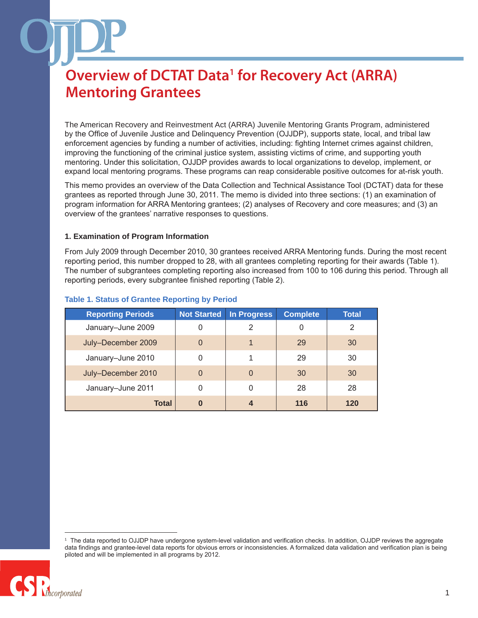The American Recovery and Reinvestment Act (ARRA) Juvenile Mentoring Grants Program, administered by the Office of Juvenile Justice and Delinquency Prevention (OJJDP), supports state, local, and tribal law enforcement agencies by funding a number of activities, including: fighting Internet crimes against children, improving the functioning of the criminal justice system, assisting victims of crime, and supporting youth mentoring. Under this solicitation, OJJDP provides awards to local organizations to develop, implement, or expand local mentoring programs. These programs can reap considerable positive outcomes for at-risk youth.

This memo provides an overview of the Data Collection and Technical Assistance Tool (DCTAT) data for these grantees as reported through June 30, 2011. The memo is divided into three sections: (1) an examination of program information for ARRA Mentoring grantees; (2) analyses of Recovery and core measures; and (3) an overview of the grantees' narrative responses to questions.

#### **1. Examination of Program Information**

From July 2009 through December 2010, 30 grantees received ARRA Mentoring funds. During the most recent reporting period, this number dropped to 28, with all grantees completing reporting for their awards (Table 1). The number of subgrantees completing reporting also increased from 100 to 106 during this period. Through all reporting periods, every subgrantee finished reporting (Table 2).

| <b>Reporting Periods</b> | <b>Not Started</b> | <b>In Progress</b> | <b>Complete</b> | <b>Total</b> |
|--------------------------|--------------------|--------------------|-----------------|--------------|
| January-June 2009        | 0                  | $\overline{2}$     | 0               | 2            |
| July-December 2009       | $\overline{0}$     |                    | 29              | 30           |
| January-June 2010        | 0                  |                    | 29              | 30           |
| July-December 2010       | $\overline{0}$     | $\Omega$           | 30              | 30           |
| January-June 2011        | 0                  | 0                  | 28              | 28           |
| Total                    | $\bf{0}$           | 4                  | 116             | 120          |

#### **Table 1. Status of Grantee Reporting by Period**

<sup>1</sup> The data reported to OJJDP have undergone system-level validation and verification checks. In addition, OJJDP reviews the aggregate data findings and grantee-level data reports for obvious errors or inconsistencies. A formalized data validation and verification plan is being piloted and will be implemented in all programs by 2012.

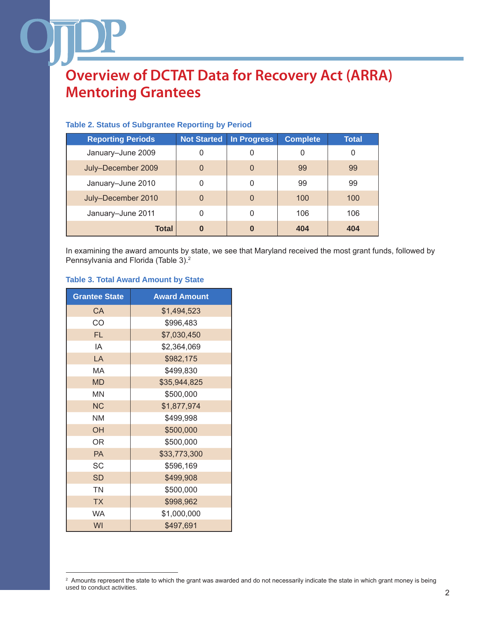| <b>Reporting Periods</b> | <b>Not Started</b> | In Progress  | <b>Complete</b> | <b>Total</b> |
|--------------------------|--------------------|--------------|-----------------|--------------|
| January-June 2009        | 0                  | 0            | 0               | 0            |
| July-December 2009       | 0                  | $\Omega$     | 99              | 99           |
| January-June 2010        | 0                  | 0            | 99              | 99           |
| July-December 2010       | 0                  | $\mathbf{0}$ | 100             | 100          |
| January-June 2011        | 0                  | 0            | 106             | 106          |
| <b>Total</b>             | $\bf{0}$           | 0            | 404             | 404          |

### **Table 2. Status of Subgrantee Reporting by Period**

In examining the award amounts by state, we see that Maryland received the most grant funds, followed by Pennsylvania and Florida (Table 3).2

#### **Table 3. Total Award Amount by State**

| <b>Grantee State</b> | <b>Award Amount</b> |
|----------------------|---------------------|
| CA                   | \$1,494,523         |
| CO                   | \$996,483           |
| <b>FL</b>            | \$7,030,450         |
| ΙA                   | \$2,364,069         |
| LA                   | \$982,175           |
| MA                   | \$499,830           |
| <b>MD</b>            | \$35,944,825        |
| <b>MN</b>            | \$500,000           |
| <b>NC</b>            | \$1,877,974         |
| <b>NM</b>            | \$499,998           |
| OH                   | \$500,000           |
| <b>OR</b>            | \$500,000           |
| <b>PA</b>            | \$33,773,300        |
| <b>SC</b>            | \$596,169           |
| <b>SD</b>            | \$499,908           |
| <b>TN</b>            | \$500,000           |
| <b>TX</b>            | \$998,962           |
| <b>WA</b>            | \$1,000,000         |
| WI                   | \$497,691           |

<sup>&</sup>lt;sup>2</sup> Amounts represent the state to which the grant was awarded and do not necessarily indicate the state in which grant money is being used to conduct activities.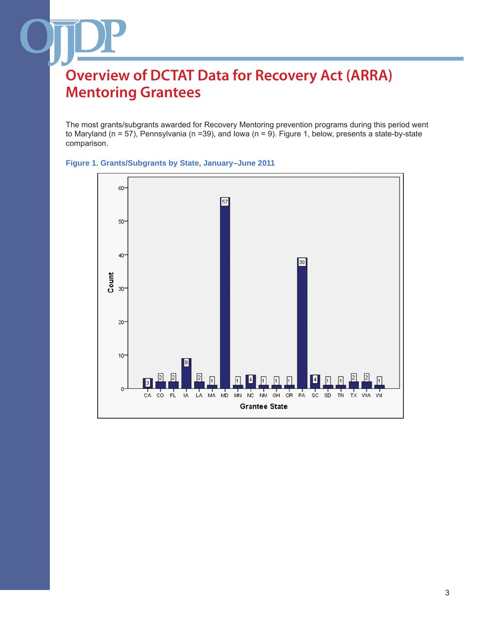The most grants/subgrants awarded for Recovery Mentoring prevention programs during this period went to Maryland (n = 57), Pennsylvania (n =39), and Iowa (n = 9). Figure 1, below, presents a state-by-state comparison.



#### **Figure 1. Grants/Subgrants by State, January–June 2011**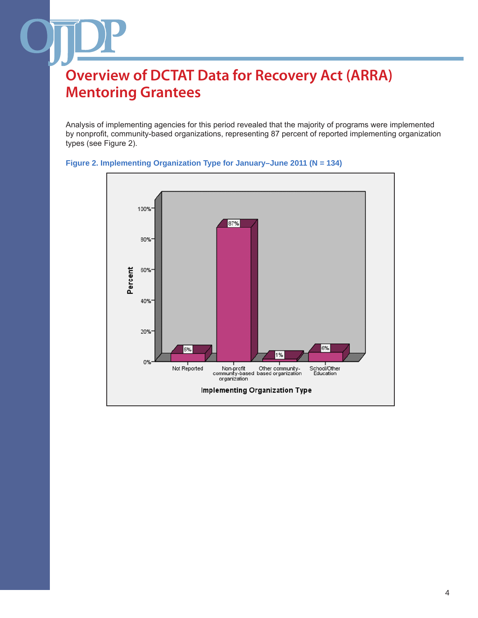Analysis of implementing agencies for this period revealed that the majority of programs were implemented by nonprofit, community-based organizations, representing 87 percent of reported implementing organization types (see Figure 2).



#### **Figure 2. Implementing Organization Type for January–June 2011 (N = 134)**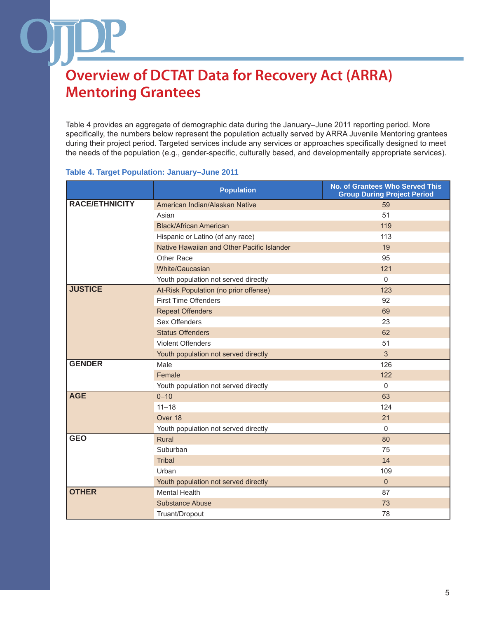Table 4 provides an aggregate of demographic data during the January–June 2011 reporting period. More specifically, the numbers below represent the population actually served by ARRA Juvenile Mentoring grantees during their project period. Targeted services include any services or approaches specifically designed to meet the needs of the population (e.g., gender-specific, culturally based, and developmentally appropriate services).

#### **Table 4. Target Population: January–June 2011**

|                       | <b>Population</b>                          | <b>No. of Grantees Who Served This</b><br><b>Group During Project Period</b> |
|-----------------------|--------------------------------------------|------------------------------------------------------------------------------|
| <b>RACE/ETHNICITY</b> | American Indian/Alaskan Native             | 59                                                                           |
|                       | Asian                                      | 51                                                                           |
|                       | <b>Black/African American</b>              | 119                                                                          |
|                       | Hispanic or Latino (of any race)           | 113                                                                          |
|                       | Native Hawaiian and Other Pacific Islander | 19                                                                           |
|                       | Other Race                                 | 95                                                                           |
|                       | White/Caucasian                            | 121                                                                          |
|                       | Youth population not served directly       | $\mathbf 0$                                                                  |
| <b>JUSTICE</b>        | At-Risk Population (no prior offense)      | 123                                                                          |
|                       | <b>First Time Offenders</b>                | 92                                                                           |
|                       | <b>Repeat Offenders</b>                    | 69                                                                           |
|                       | Sex Offenders                              | 23                                                                           |
|                       | <b>Status Offenders</b>                    | 62                                                                           |
|                       | <b>Violent Offenders</b>                   | 51                                                                           |
|                       | Youth population not served directly       | 3                                                                            |
| <b>GENDER</b>         | Male                                       | 126                                                                          |
|                       | Female                                     | 122                                                                          |
|                       | Youth population not served directly       | $\pmb{0}$                                                                    |
| <b>AGE</b>            | $0 - 10$                                   | 63                                                                           |
|                       | $11 - 18$                                  | 124                                                                          |
|                       | Over 18                                    | 21                                                                           |
|                       | Youth population not served directly       | $\mathbf 0$                                                                  |
| <b>GEO</b>            | Rural                                      | 80                                                                           |
|                       | Suburban                                   | 75                                                                           |
|                       | <b>Tribal</b>                              | 14                                                                           |
|                       | Urban                                      | 109                                                                          |
|                       | Youth population not served directly       | $\pmb{0}$                                                                    |
| <b>OTHER</b>          | <b>Mental Health</b>                       | 87                                                                           |
|                       | <b>Substance Abuse</b>                     | 73                                                                           |
|                       | Truant/Dropout                             | 78                                                                           |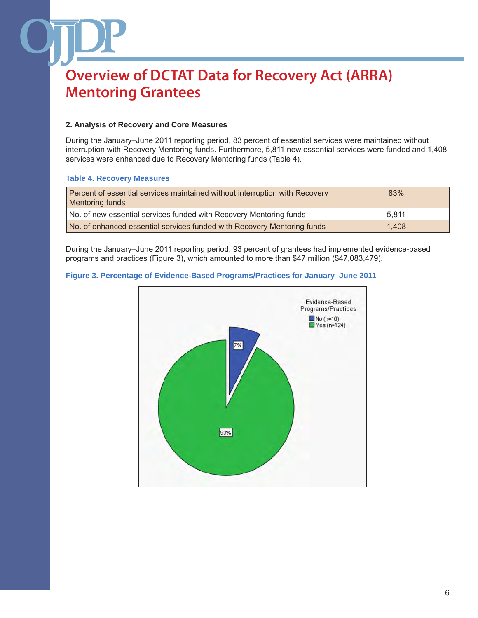### **2. Analysis of Recovery and Core Measures**

During the January–June 2011 reporting period, 83 percent of essential services were maintained without interruption with Recovery Mentoring funds. Furthermore, 5,811 new essential services were funded and 1,408 services were enhanced due to Recovery Mentoring funds (Table 4).

### **Table 4. Recovery Measures**

| Percent of essential services maintained without interruption with Recovery<br>Mentoring funds | 83%   |
|------------------------------------------------------------------------------------------------|-------|
| No. of new essential services funded with Recovery Mentoring funds                             | 5.811 |
| No. of enhanced essential services funded with Recovery Mentoring funds                        | 1.408 |

During the January–June 2011 reporting period, 93 percent of grantees had implemented evidence-based programs and practices (Figure 3), which amounted to more than \$47 million (\$47,083,479).

### **Figure 3. Percentage of Evidence-Based Programs/Practices for January–June 2011**

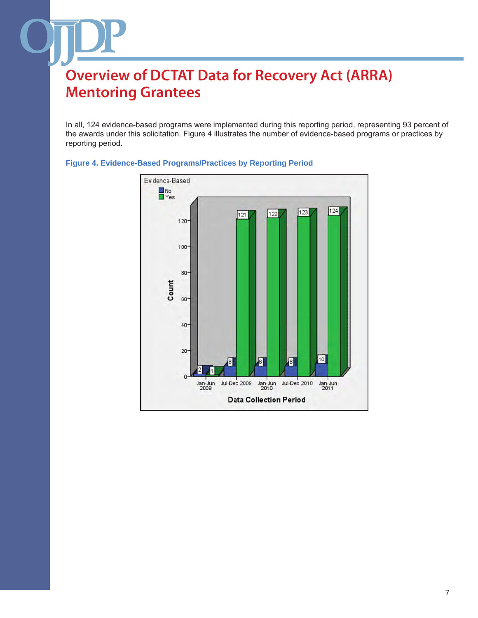In all, 124 evidence-based programs were implemented during this reporting period, representing 93 percent of the awards under this solicitation. Figure 4 illustrates the number of evidence-based programs or practices by reporting period.



#### **Figure 4. Evidence-Based Programs/Practices by Reporting Period**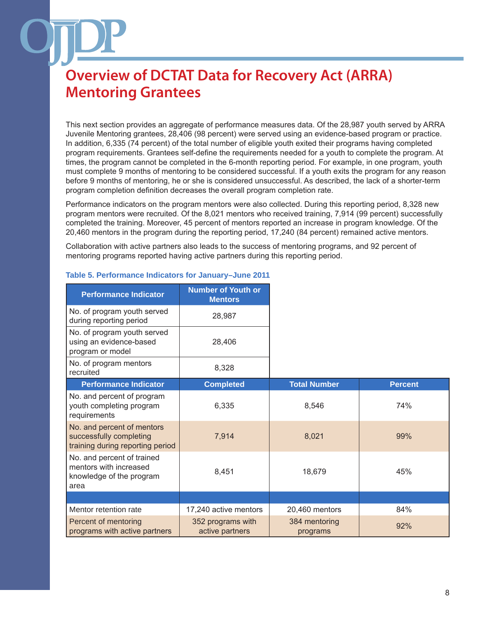This next section provides an aggregate of performance measures data. Of the 28,987 youth served by ARRA Juvenile Mentoring grantees, 28,406 (98 percent) were served using an evidence-based program or practice. In addition, 6,335 (74 percent) of the total number of eligible youth exited their programs having completed program requirements. Grantees self-define the requirements needed for a youth to complete the program. At times, the program cannot be completed in the 6-month reporting period. For example, in one program, youth must complete 9 months of mentoring to be considered successful. If a youth exits the program for any reason before 9 months of mentoring, he or she is considered unsuccessful. As described, the lack of a shorter-term program completion definition decreases the overall program completion rate.

Performance indicators on the program mentors were also collected. During this reporting period, 8,328 new program mentors were recruited. Of the 8,021 mentors who received training, 7,914 (99 percent) successfully completed the training. Moreover, 45 percent of mentors reported an increase in program knowledge. Of the 20,460 mentors in the program during the reporting period, 17,240 (84 percent) remained active mentors.

Collaboration with active partners also leads to the success of mentoring programs, and 92 percent of mentoring programs reported having active partners during this reporting period.

| <b>Performance Indicator</b>                                                              | <b>Number of Youth or</b><br><b>Mentors</b> |                           |                |
|-------------------------------------------------------------------------------------------|---------------------------------------------|---------------------------|----------------|
| No. of program youth served<br>during reporting period                                    | 28,987                                      |                           |                |
| No. of program youth served<br>using an evidence-based<br>program or model                | 28,406                                      |                           |                |
| No. of program mentors<br>recruited                                                       | 8,328                                       |                           |                |
| <b>Performance Indicator</b>                                                              | <b>Completed</b>                            | <b>Total Number</b>       | <b>Percent</b> |
| No. and percent of program<br>youth completing program<br>requirements                    | 6,335                                       | 8,546                     | 74%            |
| No. and percent of mentors<br>successfully completing<br>training during reporting period | 7,914                                       | 8,021                     | 99%            |
| No. and percent of trained<br>mentors with increased<br>knowledge of the program<br>area  | 8,451                                       | 18,679                    | 45%            |
|                                                                                           |                                             |                           |                |
| Mentor retention rate                                                                     | 17,240 active mentors                       | 20,460 mentors            | 84%            |
| Percent of mentoring<br>programs with active partners                                     | 352 programs with<br>active partners        | 384 mentoring<br>programs | 92%            |

#### **Table 5. Performance Indicators for January–June 2011**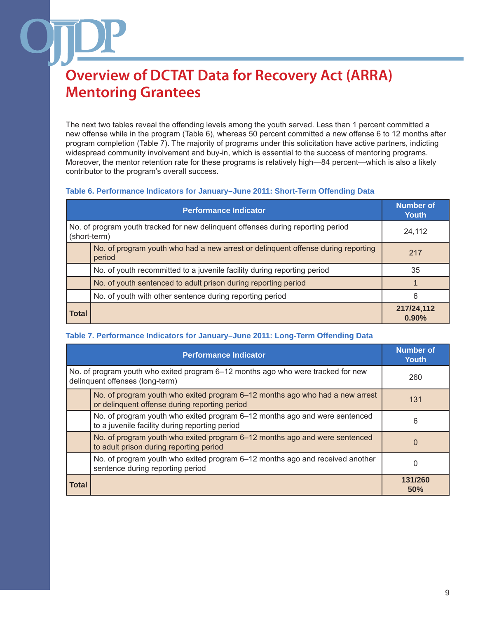The next two tables reveal the offending levels among the youth served. Less than 1 percent committed a new offense while in the program (Table 6), whereas 50 percent committed a new offense 6 to 12 months after program completion (Table 7). The majority of programs under this solicitation have active partners, indicting widespread community involvement and buy-in, which is essential to the success of mentoring programs. Moreover, the mentor retention rate for these programs is relatively high—84 percent—which is also a likely contributor to the program's overall success.

### **Table 6. Performance Indicators for January–June 2011: Short-Term Offending Data**

|                                                                                                  | <b>Number of</b><br>Youth                                                                  |                     |
|--------------------------------------------------------------------------------------------------|--------------------------------------------------------------------------------------------|---------------------|
| No. of program youth tracked for new delinguent offenses during reporting period<br>(short-term) |                                                                                            | 24,112              |
|                                                                                                  | No. of program youth who had a new arrest or delinguent offense during reporting<br>period | 217                 |
|                                                                                                  | No. of youth recommitted to a juvenile facility during reporting period                    | 35                  |
|                                                                                                  | No. of youth sentenced to adult prison during reporting period                             |                     |
|                                                                                                  | No. of youth with other sentence during reporting period                                   | 6                   |
| <b>Total</b>                                                                                     |                                                                                            | 217/24,112<br>0.90% |

### **Table 7. Performance Indicators for January–June 2011: Long-Term Offending Data**

|                                                                                                                     | <b>Number of</b><br>Youth                                                                                                     |                |
|---------------------------------------------------------------------------------------------------------------------|-------------------------------------------------------------------------------------------------------------------------------|----------------|
| No. of program youth who exited program 6-12 months ago who were tracked for new<br>delinquent offenses (long-term) |                                                                                                                               | 260            |
|                                                                                                                     | No. of program youth who exited program 6–12 months ago who had a new arrest<br>or delinquent offense during reporting period | 131            |
|                                                                                                                     | No. of program youth who exited program 6-12 months ago and were sentenced<br>to a juvenile facility during reporting period  | 6              |
|                                                                                                                     | No. of program youth who exited program 6-12 months ago and were sentenced<br>to adult prison during reporting period         | $\Omega$       |
|                                                                                                                     | No. of program youth who exited program 6–12 months ago and received another<br>sentence during reporting period              | $\Omega$       |
| <b>Total</b>                                                                                                        |                                                                                                                               | 131/260<br>50% |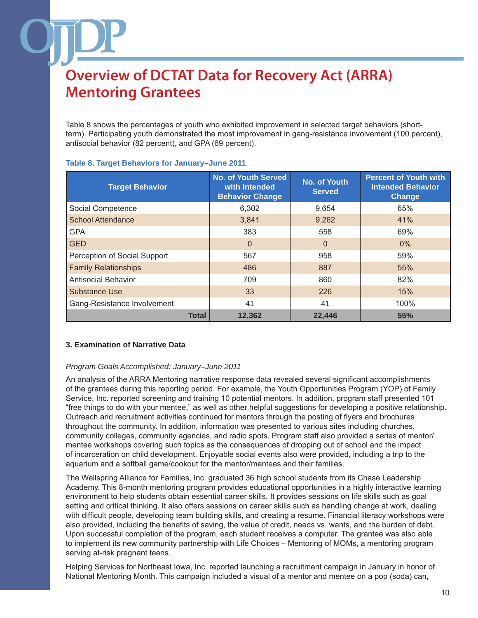Table 8 shows the percentages of youth who exhibited improvement in selected target behaviors (shortterm). Participating youth demonstrated the most improvement in gang-resistance involvement (100 percent), antisocial behavior (82 percent), and GPA (69 percent).

| <b>Target Behavior</b>       | <b>No. of Youth Served</b><br>with Intended<br><b>Behavior Change</b> | No. of Youth<br><b>Served</b> | <b>Percent of Youth with</b><br><b>Intended Behavior</b><br><b>Change</b> |
|------------------------------|-----------------------------------------------------------------------|-------------------------------|---------------------------------------------------------------------------|
| Social Competence            | 6,302                                                                 | 9,654                         | 65%                                                                       |
| <b>School Attendance</b>     | 3,841                                                                 | 9,262                         | 41%                                                                       |
| <b>GPA</b>                   | 383                                                                   | 558                           | 69%                                                                       |
| <b>GED</b>                   | $\Omega$                                                              | $\Omega$                      | $0\%$                                                                     |
| Perception of Social Support | 567                                                                   | 958                           | 59%                                                                       |
| <b>Family Relationships</b>  | 486                                                                   | 887                           | 55%                                                                       |
| <b>Antisocial Behavior</b>   | 709                                                                   | 860                           | 82%                                                                       |
| <b>Substance Use</b>         | 33                                                                    | 226                           | 15%                                                                       |
| Gang-Resistance Involvement  | 41                                                                    | 41                            | 100%                                                                      |
| <b>Total</b>                 | 12.362                                                                | 22.446                        | 55%                                                                       |

### **Table 8. Target Behaviors for January–June 2011**

### **3. Examination of Narrative Data**

#### *Program Goals Accomplished: January–June 2011*

An analysis of the ARRA Mentoring narrative response data revealed several significant accomplishments of the grantees during this reporting period. For example, the Youth Opportunities Program (YOP) of Family Service, Inc. reported screening and training 10 potential mentors. In addition, program staff presented 101 "free things to do with your mentee," as well as other helpful suggestions for developing a positive relationship. Outreach and recruitment activities continued for mentors through the posting of flyers and brochures throughout the community. In addition, information was presented to various sites including churches, community colleges, community agencies, and radio spots. Program staff also provided a series of mentor/ mentee workshops covering such topics as the consequences of dropping out of school and the impact of incarceration on child development. Enjoyable social events also were provided, including a trip to the aquarium and a softball game/cookout for the mentor/mentees and their families.

The Wellspring Alliance for Families, Inc. graduated 36 high school students from its Chase Leadership Academy. This 8-month mentoring program provides educational opportunities in a highly interactive learning environment to help students obtain essential career skills. It provides sessions on life skills such as goal setting and critical thinking. It also offers sessions on career skills such as handling change at work, dealing with difficult people, developing team building skills, and creating a resume. Financial literacy workshops were also provided, including the benefits of saving, the value of credit, needs vs. wants, and the burden of debt. Upon successful completion of the program, each student receives a computer. The grantee was also able to implement its new community partnership with Life Choices – Mentoring of MOMs, a mentoring program serving at-risk pregnant teens.

Helping Services for Northeast Iowa, Inc. reported launching a recruitment campaign in January in honor of National Mentoring Month. This campaign included a visual of a mentor and mentee on a pop (soda) can,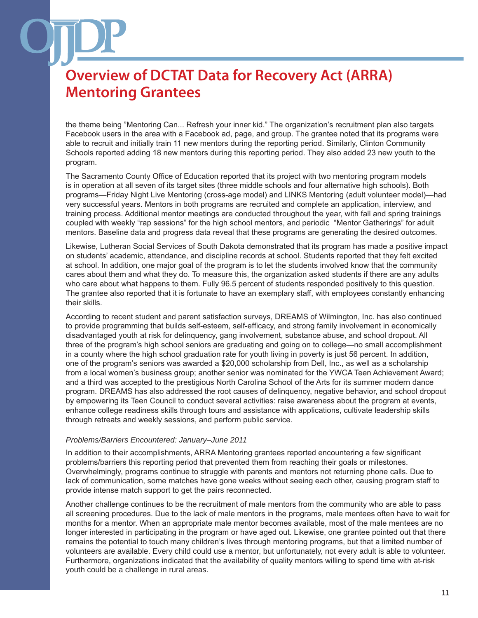the theme being "Mentoring Can... Refresh your inner kid." The organization's recruitment plan also targets Facebook users in the area with a Facebook ad, page, and group. The grantee noted that its programs were able to recruit and initially train 11 new mentors during the reporting period. Similarly, Clinton Community Schools reported adding 18 new mentors during this reporting period. They also added 23 new youth to the program.

The Sacramento County Office of Education reported that its project with two mentoring program models is in operation at all seven of its target sites (three middle schools and four alternative high schools). Both programs—Friday Night Live Mentoring (cross-age model) and LINKS Mentoring (adult volunteer model)—had very successful years. Mentors in both programs are recruited and complete an application, interview, and training process. Additional mentor meetings are conducted throughout the year, with fall and spring trainings coupled with weekly "rap sessions" for the high school mentors, and periodic "Mentor Gatherings" for adult mentors. Baseline data and progress data reveal that these programs are generating the desired outcomes.

Likewise, Lutheran Social Services of South Dakota demonstrated that its program has made a positive impact on students' academic, attendance, and discipline records at school. Students reported that they felt excited at school. In addition, one major goal of the program is to let the students involved know that the community cares about them and what they do. To measure this, the organization asked students if there are any adults who care about what happens to them. Fully 96.5 percent of students responded positively to this question. The grantee also reported that it is fortunate to have an exemplary staff, with employees constantly enhancing their skills.

According to recent student and parent satisfaction surveys, DREAMS of Wilmington, Inc. has also continued to provide programming that builds self-esteem, self-efficacy, and strong family involvement in economically disadvantaged youth at risk for delinquency, gang involvement, substance abuse, and school dropout. All three of the program's high school seniors are graduating and going on to college—no small accomplishment in a county where the high school graduation rate for youth living in poverty is just 56 percent. In addition, one of the program's seniors was awarded a \$20,000 scholarship from Dell, Inc., as well as a scholarship from a local women's business group; another senior was nominated for the YWCA Teen Achievement Award; and a third was accepted to the prestigious North Carolina School of the Arts for its summer modern dance program. DREAMS has also addressed the root causes of delinquency, negative behavior, and school dropout by empowering its Teen Council to conduct several activities: raise awareness about the program at events, enhance college readiness skills through tours and assistance with applications, cultivate leadership skills through retreats and weekly sessions, and perform public service.

#### *Problems/Barriers Encountered: January–June 2011*

In addition to their accomplishments, ARRA Mentoring grantees reported encountering a few significant problems/barriers this reporting period that prevented them from reaching their goals or milestones. Overwhelmingly, programs continue to struggle with parents and mentors not returning phone calls. Due to lack of communication, some matches have gone weeks without seeing each other, causing program staff to provide intense match support to get the pairs reconnected.

Another challenge continues to be the recruitment of male mentors from the community who are able to pass all screening procedures. Due to the lack of male mentors in the programs, male mentees often have to wait for months for a mentor. When an appropriate male mentor becomes available, most of the male mentees are no longer interested in participating in the program or have aged out. Likewise, one grantee pointed out that there remains the potential to touch many children's lives through mentoring programs, but that a limited number of volunteers are available. Every child could use a mentor, but unfortunately, not every adult is able to volunteer. Furthermore, organizations indicated that the availability of quality mentors willing to spend time with at-risk youth could be a challenge in rural areas.